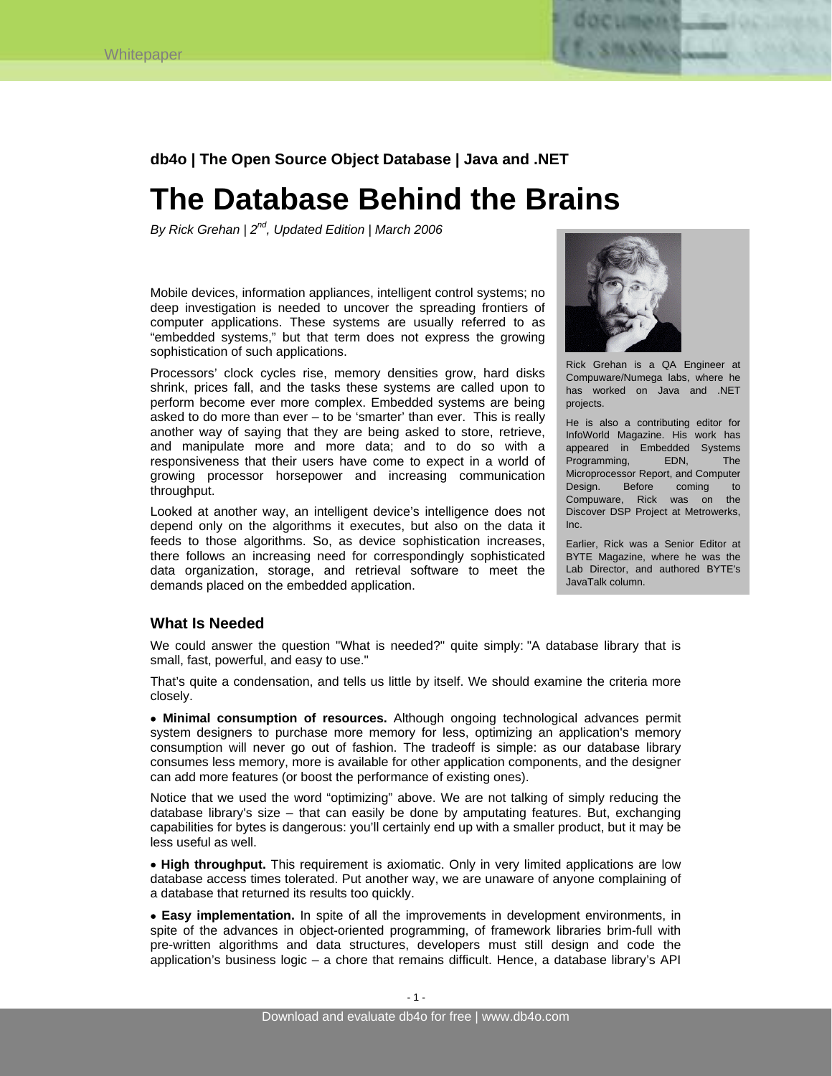

**db4o | The Open Source Object Database | Java and .NET** 

# **The Database Behind the Brains**

*By Rick Grehan | 2nd, Updated Edition | March 2006* 

Mobile devices, information appliances, intelligent control systems; no deep investigation is needed to uncover the spreading frontiers of computer applications. These systems are usually referred to as "embedded systems," but that term does not express the growing sophistication of such applications.

Processors' clock cycles rise, memory densities grow, hard disks shrink, prices fall, and the tasks these systems are called upon to perform become ever more complex. Embedded systems are being asked to do more than ever – to be 'smarter' than ever. This is really another way of saying that they are being asked to store, retrieve, and manipulate more and more data; and to do so with a responsiveness that their users have come to expect in a world of growing processor horsepower and increasing communication throughput.

Looked at another way, an intelligent device's intelligence does not depend only on the algorithms it executes, but also on the data it feeds to those algorithms. So, as device sophistication increases, there follows an increasing need for correspondingly sophisticated data organization, storage, and retrieval software to meet the demands placed on the embedded application.



Rick Grehan is a QA Engineer at Compuware/Numega labs, where he has worked on Java and .NET projects.

He is also a contributing editor for InfoWorld Magazine. His work has appeared in Embedded Systems Programming, EDN, The Microprocessor Report, and Computer Design. Before coming to Compuware, Rick was on the Discover DSP Project at Metrowerks, Inc.

Earlier, Rick was a Senior Editor at BYTE Magazine, where he was the Lab Director, and authored BYTE's JavaTalk column.

## **What Is Needed**

We could answer the question "What is needed?" quite simply: "A database library that is small, fast, powerful, and easy to use."

That's quite a condensation, and tells us little by itself. We should examine the criteria more closely.

• **Minimal consumption of resources.** Although ongoing technological advances permit system designers to purchase more memory for less, optimizing an application's memory consumption will never go out of fashion. The tradeoff is simple: as our database library consumes less memory, more is available for other application components, and the designer can add more features (or boost the performance of existing ones).

Notice that we used the word "optimizing" above. We are not talking of simply reducing the database library's size – that can easily be done by amputating features. But, exchanging capabilities for bytes is dangerous: you'll certainly end up with a smaller product, but it may be less useful as well.

• **High throughput.** This requirement is axiomatic. Only in very limited applications are low database access times tolerated. Put another way, we are unaware of anyone complaining of a database that returned its results too quickly.

• **Easy implementation.** In spite of all the improvements in development environments, in spite of the advances in object-oriented programming, of framework libraries brim-full with pre-written algorithms and data structures, developers must still design and code the application's business logic – a chore that remains difficult. Hence, a database library's API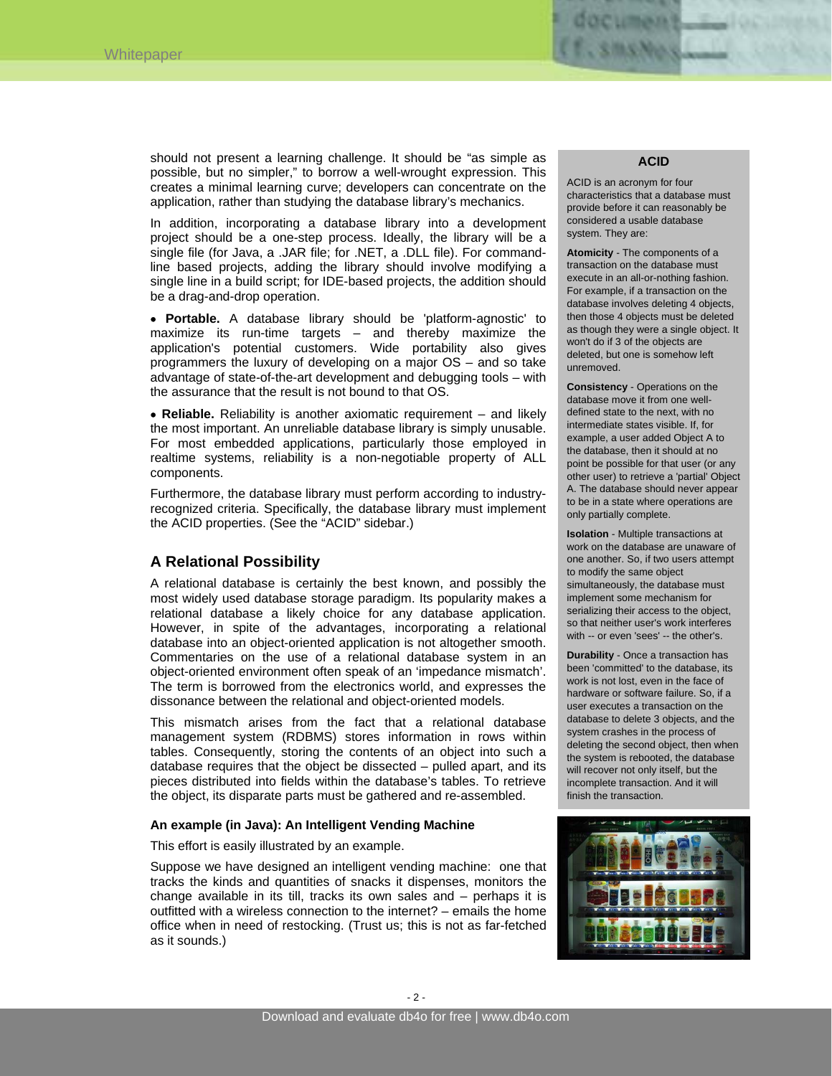

should not present a learning challenge. It should be "as simple as possible, but no simpler," to borrow a well-wrought expression. This creates a minimal learning curve; developers can concentrate on the application, rather than studying the database library's mechanics.

In addition, incorporating a database library into a development project should be a one-step process. Ideally, the library will be a single file (for Java, a .JAR file; for .NET, a .DLL file). For commandline based projects, adding the library should involve modifying a single line in a build script; for IDE-based projects, the addition should be a drag-and-drop operation.

• **Portable.** A database library should be 'platform-agnostic' to maximize its run-time targets – and thereby maximize the application's potential customers. Wide portability also gives programmers the luxury of developing on a major OS – and so take advantage of state-of-the-art development and debugging tools – with the assurance that the result is not bound to that OS.

• **Reliable.** Reliability is another axiomatic requirement – and likely the most important. An unreliable database library is simply unusable. For most embedded applications, particularly those employed in realtime systems, reliability is a non-negotiable property of ALL components.

Furthermore, the database library must perform according to industryrecognized criteria. Specifically, the database library must implement the ACID properties. (See the "ACID" sidebar.)

# **A Relational Possibility**

A relational database is certainly the best known, and possibly the most widely used database storage paradigm. Its popularity makes a relational database a likely choice for any database application. However, in spite of the advantages, incorporating a relational database into an object-oriented application is not altogether smooth. Commentaries on the use of a relational database system in an object-oriented environment often speak of an 'impedance mismatch'. The term is borrowed from the electronics world, and expresses the dissonance between the relational and object-oriented models.

This mismatch arises from the fact that a relational database management system (RDBMS) stores information in rows within tables. Consequently, storing the contents of an object into such a database requires that the object be dissected – pulled apart, and its pieces distributed into fields within the database's tables. To retrieve the object, its disparate parts must be gathered and re-assembled.

#### **An example (in Java): An Intelligent Vending Machine**

This effort is easily illustrated by an example.

Suppose we have designed an intelligent vending machine: one that tracks the kinds and quantities of snacks it dispenses, monitors the change available in its till, tracks its own sales and – perhaps it is outfitted with a wireless connection to the internet? – emails the home office when in need of restocking. (Trust us; this is not as far-fetched as it sounds.)

#### **ACID**

ACID is an acronym for four characteristics that a database must provide before it can reasonably be considered a usable database system. They are:

**Atomicity** - The components of a transaction on the database must execute in an all-or-nothing fashion. For example, if a transaction on the database involves deleting 4 objects, then those 4 objects must be deleted as though they were a single object. It won't do if 3 of the objects are deleted, but one is somehow left unremoved.

**Consistency** - Operations on the database move it from one welldefined state to the next, with no intermediate states visible. If, for example, a user added Object A to the database, then it should at no point be possible for that user (or any other user) to retrieve a 'partial' Object A. The database should never appear to be in a state where operations are only partially complete.

**Isolation** - Multiple transactions at work on the database are unaware of one another. So, if two users attempt to modify the same object simultaneously, the database must implement some mechanism for serializing their access to the object, so that neither user's work interferes with -- or even 'sees' -- the other's.

**Durability** - Once a transaction has been 'committed' to the database, its work is not lost, even in the face of hardware or software failure. So, if a user executes a transaction on the database to delete 3 objects, and the system crashes in the process of deleting the second object, then when the system is rebooted, the database will recover not only itself, but the incomplete transaction. And it will finish the transaction.

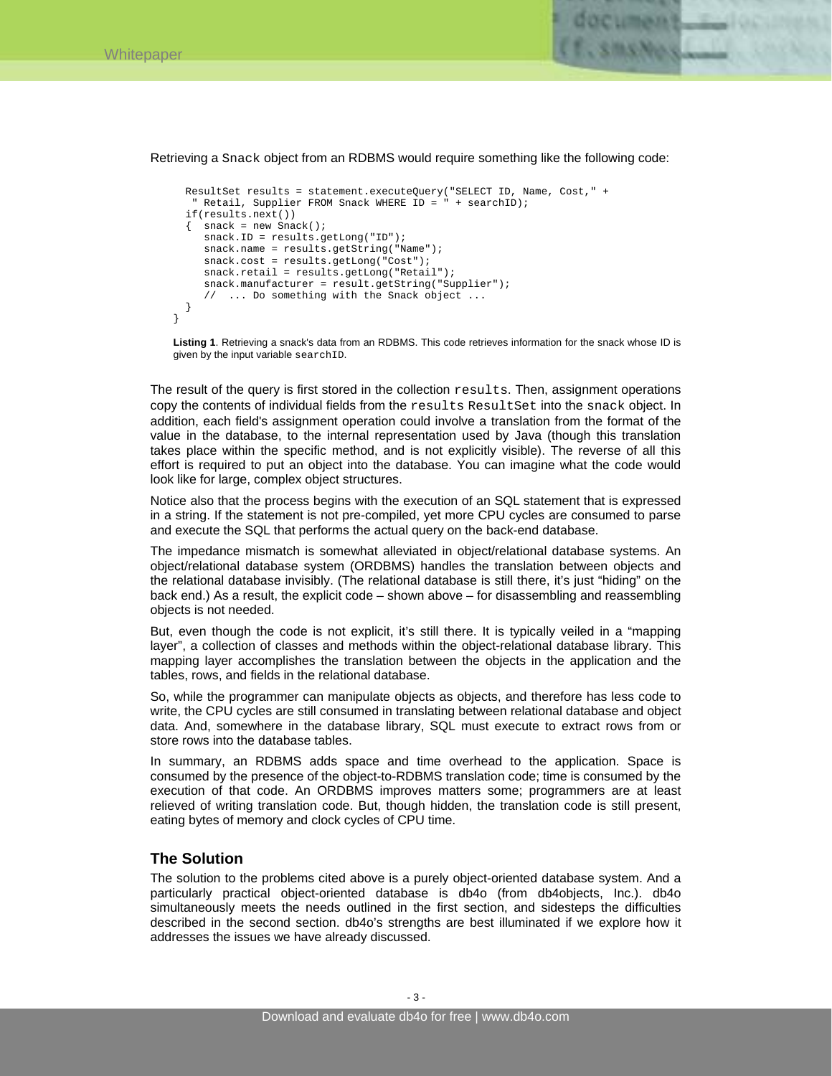}



Retrieving a Snack object from an RDBMS would require something like the following code:

```
 ResultSet results = statement.executeQuery("SELECT ID, Name, Cost," + 
  " Retail, Supplier FROM Snack WHERE ID = " + searchID); 
 if(results.next()) 
\{ snack = new Snack();
    snack.ID = results.getLong("ID"); 
  snack.name = results.getString("Name");
    snack.cost = results.getLong("Cost"); 
    snack.retail = results.getLong("Retail"); 
   snack.manufacturer = result.getString("Supplier"); 
    // ... Do something with the Snack object ... 
 }
```
**Listing 1**. Retrieving a snack's data from an RDBMS. This code retrieves information for the snack whose ID is given by the input variable searchID.

The result of the query is first stored in the collection results. Then, assignment operations copy the contents of individual fields from the results ResultSet into the snack object. In addition, each field's assignment operation could involve a translation from the format of the value in the database, to the internal representation used by Java (though this translation takes place within the specific method, and is not explicitly visible). The reverse of all this effort is required to put an object into the database. You can imagine what the code would look like for large, complex object structures.

Notice also that the process begins with the execution of an SQL statement that is expressed in a string. If the statement is not pre-compiled, yet more CPU cycles are consumed to parse and execute the SQL that performs the actual query on the back-end database.

The impedance mismatch is somewhat alleviated in object/relational database systems. An object/relational database system (ORDBMS) handles the translation between objects and the relational database invisibly. (The relational database is still there, it's just "hiding" on the back end.) As a result, the explicit code – shown above – for disassembling and reassembling objects is not needed.

But, even though the code is not explicit, it's still there. It is typically veiled in a "mapping layer", a collection of classes and methods within the object-relational database library. This mapping layer accomplishes the translation between the objects in the application and the tables, rows, and fields in the relational database.

So, while the programmer can manipulate objects as objects, and therefore has less code to write, the CPU cycles are still consumed in translating between relational database and object data. And, somewhere in the database library, SQL must execute to extract rows from or store rows into the database tables.

In summary, an RDBMS adds space and time overhead to the application. Space is consumed by the presence of the object-to-RDBMS translation code; time is consumed by the execution of that code. An ORDBMS improves matters some; programmers are at least relieved of writing translation code. But, though hidden, the translation code is still present, eating bytes of memory and clock cycles of CPU time.

# **The Solution**

The solution to the problems cited above is a purely object-oriented database system. And a particularly practical object-oriented database is db4o (from db4objects, Inc.). db4o simultaneously meets the needs outlined in the first section, and sidesteps the difficulties described in the second section. db4o's strengths are best illuminated if we explore how it addresses the issues we have already discussed.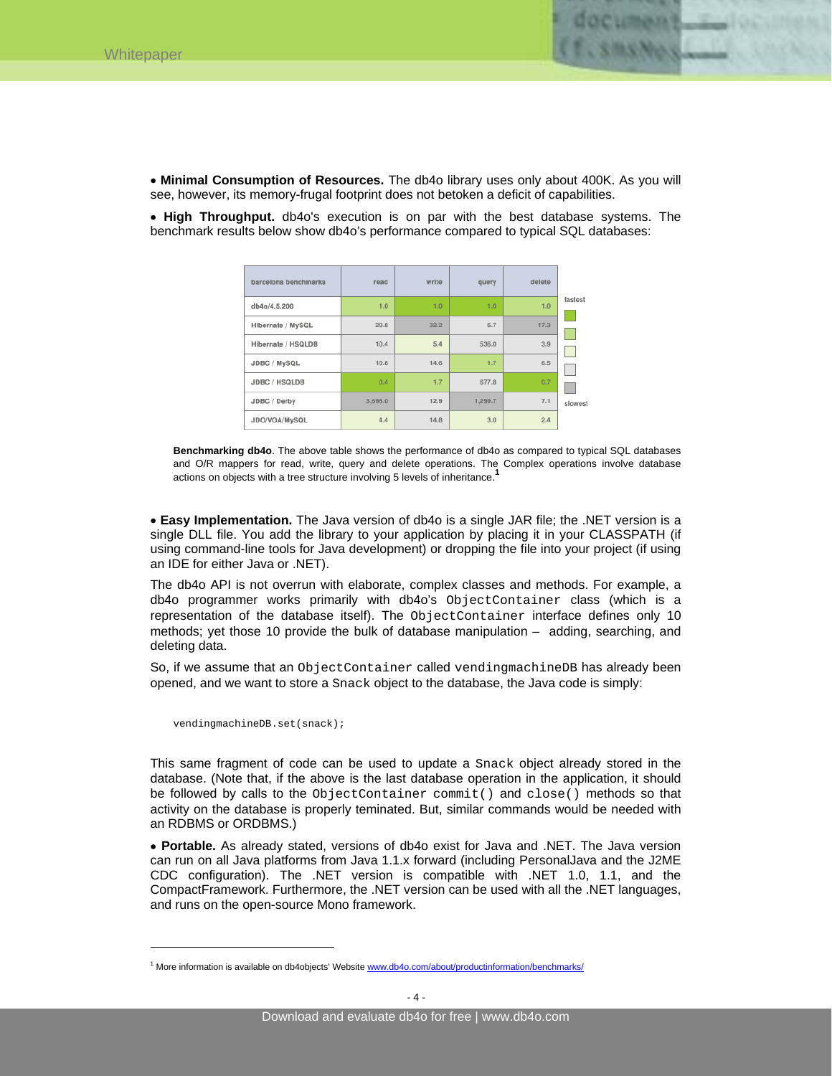

• **Minimal Consumption of Resources.** The db4o library uses only about 400K. As you will see, however, its memory-frugal footprint does not betoken a deficit of capabilities.

• **High Throughput.** db4o's execution is on par with the best database systems. The benchmark results below show db4o's performance compared to typical SQL databases:

| barcelona benchmarks | read    | write | query   | delete |         |
|----------------------|---------|-------|---------|--------|---------|
| db4o/4.5.200         | 1.0     | 1.0   | 1.0     | 1.0    | fastest |
| Hibernate / MySQL    | 20.8    | 32.2  | 6.7     | 17.3   |         |
| Hibernate / HSQLDB   | 10.4    | 5.4   | 536.0   | 3.9    |         |
| JDBC / MySQL         | 10.8    | 14.6  | 1.7     | 6.5    |         |
| JDBC / HSQLDB        | 0.4     | 1.7   | 677.8   | 0.7    |         |
| JDBC / Derby         | 3,696.0 | 12.9  | 1,299.7 | 7.1    | slowest |
| JDO/VOA/MySQL        | 4.4     | 14.8  | 3.0     | 2.4    |         |

**Benchmarking db4o**. The above table shows the performance of db4o as compared to typical SQL databases and O/R mappers for read, write, query and delete operations. The Complex operations involve database actions on objects with a tree structure involving 5 levels of inheritance.**<sup>1</sup>**

• **Easy Implementation.** The Java version of db4o is a single JAR file; the .NET version is a single DLL file. You add the library to your application by placing it in your CLASSPATH (if using command-line tools for Java development) or dropping the file into your project (if using an IDE for either Java or .NET).

The db4o API is not overrun with elaborate, complex classes and methods. For example, a db4o programmer works primarily with db4o's ObjectContainer class (which is a representation of the database itself). The ObjectContainer interface defines only 10 methods; yet those 10 provide the bulk of database manipulation – adding, searching, and deleting data.

So, if we assume that an ObjectContainer called vendingmachineDB has already been opened, and we want to store a Snack object to the database, the Java code is simply:

vendingmachineDB.set(snack);

 $\overline{a}$ 

This same fragment of code can be used to update a Snack object already stored in the database. (Note that, if the above is the last database operation in the application, it should be followed by calls to the ObjectContainer commit() and close() methods so that activity on the database is properly teminated. But, similar commands would be needed with an RDBMS or ORDBMS.)

• **Portable.** As already stated, versions of db4o exist for Java and .NET. The Java version can run on all Java platforms from Java 1.1.x forward (including PersonalJava and the J2ME CDC configuration). The .NET version is compatible with .NET 1.0, 1.1, and the CompactFramework. Furthermore, the .NET version can be used with all the .NET languages, and runs on the open-source Mono framework.

<sup>&</sup>lt;sup>1</sup> More information is available on db4objects' Website www.db4o.com/about/productinformation/benchmarks/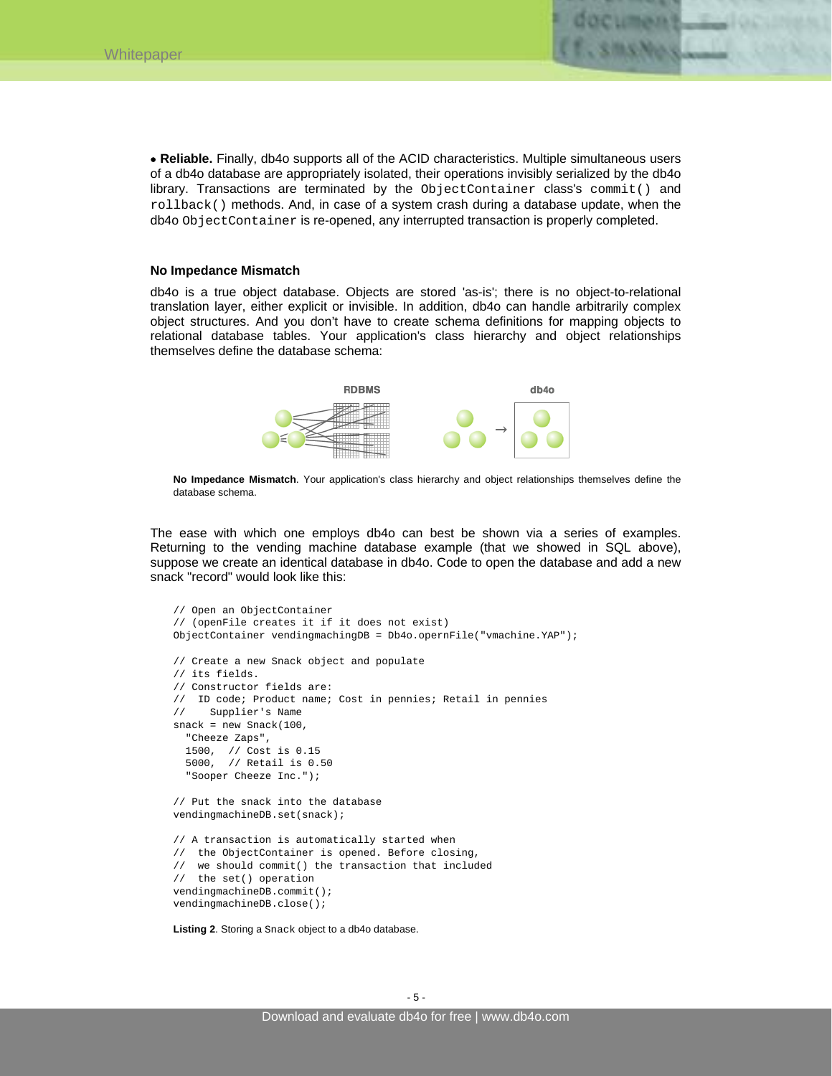

#### **No Impedance Mismatch**

db4o is a true object database. Objects are stored 'as-is'; there is no object-to-relational translation layer, either explicit or invisible. In addition, db4o can handle arbitrarily complex object structures. And you don't have to create schema definitions for mapping objects to relational database tables. Your application's class hierarchy and object relationships themselves define the database schema:



**No Impedance Mismatch**. Your application's class hierarchy and object relationships themselves define the database schema.

The ease with which one employs db4o can best be shown via a series of examples. Returning to the vending machine database example (that we showed in SQL above), suppose we create an identical database in db4o. Code to open the database and add a new snack "record" would look like this:

```
// Open an ObjectContainer 
// (openFile creates it if it does not exist) 
ObjectContainer vendingmachingDB = Db4o.opernFile("vmachine.YAP"); 
// Create a new Snack object and populate 
// its fields. 
// Constructor fields are: 
// ID code; Product name; Cost in pennies; Retail in pennies 
// Supplier's Name 
snack = new Snack(100, "Cheeze Zaps", 
   1500, // Cost is 0.15 
   5000, // Retail is 0.50 
   "Sooper Cheeze Inc."); 
// Put the snack into the database 
vendingmachineDB.set(snack); 
// A transaction is automatically started when 
// the ObjectContainer is opened. Before closing, 
// we should commit() the transaction that included 
// the set() operation 
vendingmachineDB.commit(); 
vendingmachineDB.close();
```
**Listing 2**. Storing a Snack object to a db4o database.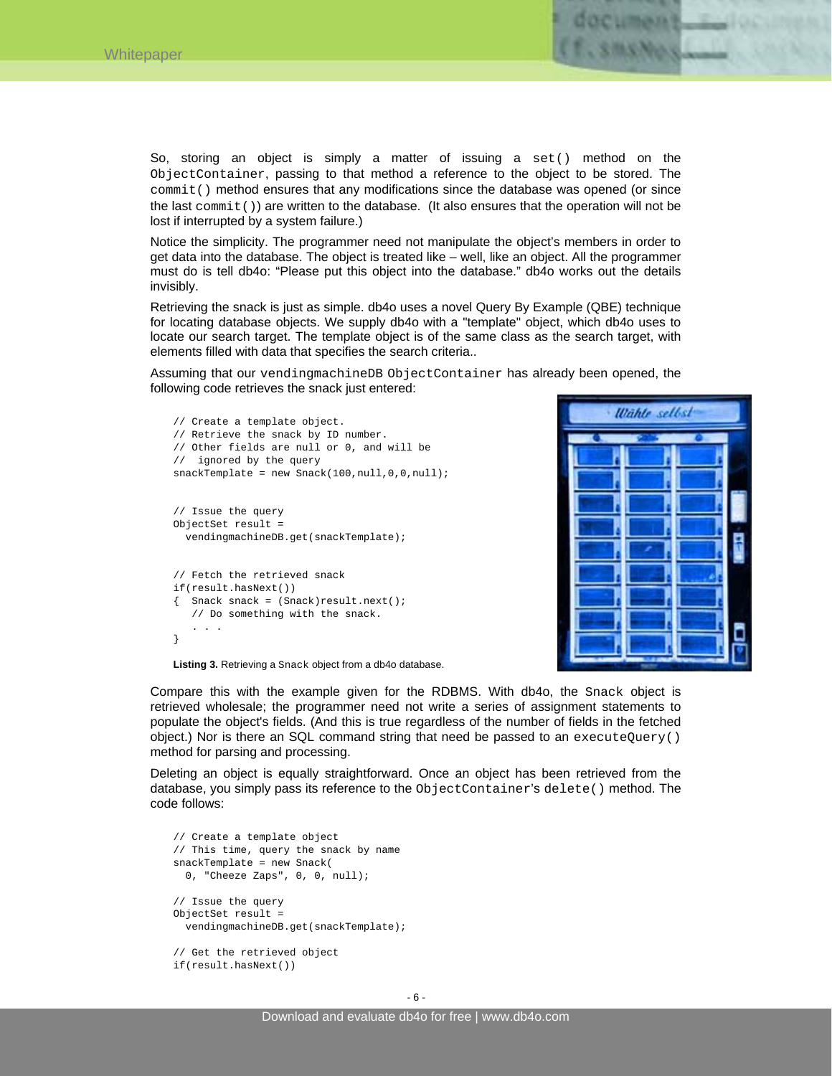

Notice the simplicity. The programmer need not manipulate the object's members in order to get data into the database. The object is treated like – well, like an object. All the programmer must do is tell db4o: "Please put this object into the database." db4o works out the details invisibly.

Retrieving the snack is just as simple. db4o uses a novel Query By Example (QBE) technique for locating database objects. We supply db4o with a "template" object, which db4o uses to locate our search target. The template object is of the same class as the search target, with elements filled with data that specifies the search criteria..

Assuming that our vendingmachineDB ObjectContainer has already been opened, the following code retrieves the snack just entered:

```
// Create a template object. 
// Retrieve the snack by ID number. 
// Other fields are null or 0, and will be 
// ignored by the query 
snackTemplate = new Snack(100,null,0,0,null);
// Issue the query 
ObjectSet result = 
   vendingmachineDB.get(snackTemplate); 
// Fetch the retrieved snack 
if(result.hasNext()) 
{ Snack snack = (Snack)result.next(); 
    // Do something with the snack. 
 . . . 
}
```


**Listing 3.** Retrieving a Snack object from a db4o database.

Compare this with the example given for the RDBMS. With db4o, the Snack object is retrieved wholesale; the programmer need not write a series of assignment statements to populate the object's fields. (And this is true regardless of the number of fields in the fetched object.) Nor is there an SQL command string that need be passed to an executeQuery() method for parsing and processing.

Deleting an object is equally straightforward. Once an object has been retrieved from the database, you simply pass its reference to the ObjectContainer's delete() method. The code follows:

```
// Create a template object 
// This time, query the snack by name 
snackTemplate = new Snack( 
  0, "Cheeze Zaps", 0, 0, null); 
// Issue the query 
ObjectSet result = 
   vendingmachineDB.get(snackTemplate); 
// Get the retrieved object 
if(result.hasNext())
```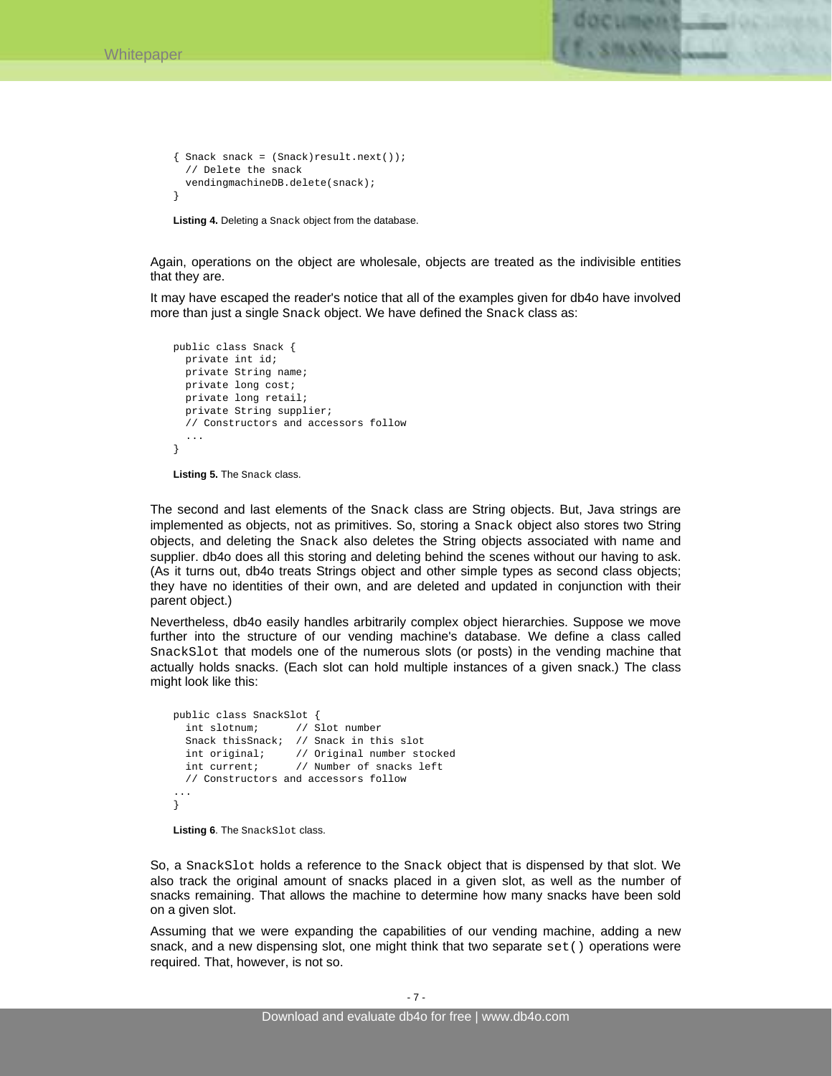

```
\{ Snack snack = (Snack)result.next());
   // Delete the snack 
   vendingmachineDB.delete(snack); 
}
```
**Listing 4.** Deleting a Snack object from the database.

Again, operations on the object are wholesale, objects are treated as the indivisible entities that they are.

It may have escaped the reader's notice that all of the examples given for db4o have involved more than just a single Snack object. We have defined the Snack class as:

```
public class Snack { 
   private int id; 
   private String name; 
   private long cost; 
   private long retail; 
   private String supplier; 
   // Constructors and accessors follow 
 ... 
}
```
**Listing 5.** The Snack class.

The second and last elements of the Snack class are String objects. But, Java strings are implemented as objects, not as primitives. So, storing a Snack object also stores two String objects, and deleting the Snack also deletes the String objects associated with name and supplier. db4o does all this storing and deleting behind the scenes without our having to ask. (As it turns out, db4o treats Strings object and other simple types as second class objects; they have no identities of their own, and are deleted and updated in conjunction with their parent object.)

Nevertheless, db4o easily handles arbitrarily complex object hierarchies. Suppose we move further into the structure of our vending machine's database. We define a class called SnackSlot that models one of the numerous slots (or posts) in the vending machine that actually holds snacks. (Each slot can hold multiple instances of a given snack.) The class might look like this:

```
public class SnackSlot { 
   int slotnum; // Slot number 
   Snack thisSnack; // Snack in this slot 
 int original; // Original number stocked 
 int current; // Number of snacks left 
  // Constructors and accessors follow 
... 
}
```

```
Listing 6. The SnackSlot class.
```
So, a SnackSlot holds a reference to the Snack object that is dispensed by that slot. We also track the original amount of snacks placed in a given slot, as well as the number of snacks remaining. That allows the machine to determine how many snacks have been sold on a given slot.

Assuming that we were expanding the capabilities of our vending machine, adding a new snack, and a new dispensing slot, one might think that two separate set() operations were required. That, however, is not so.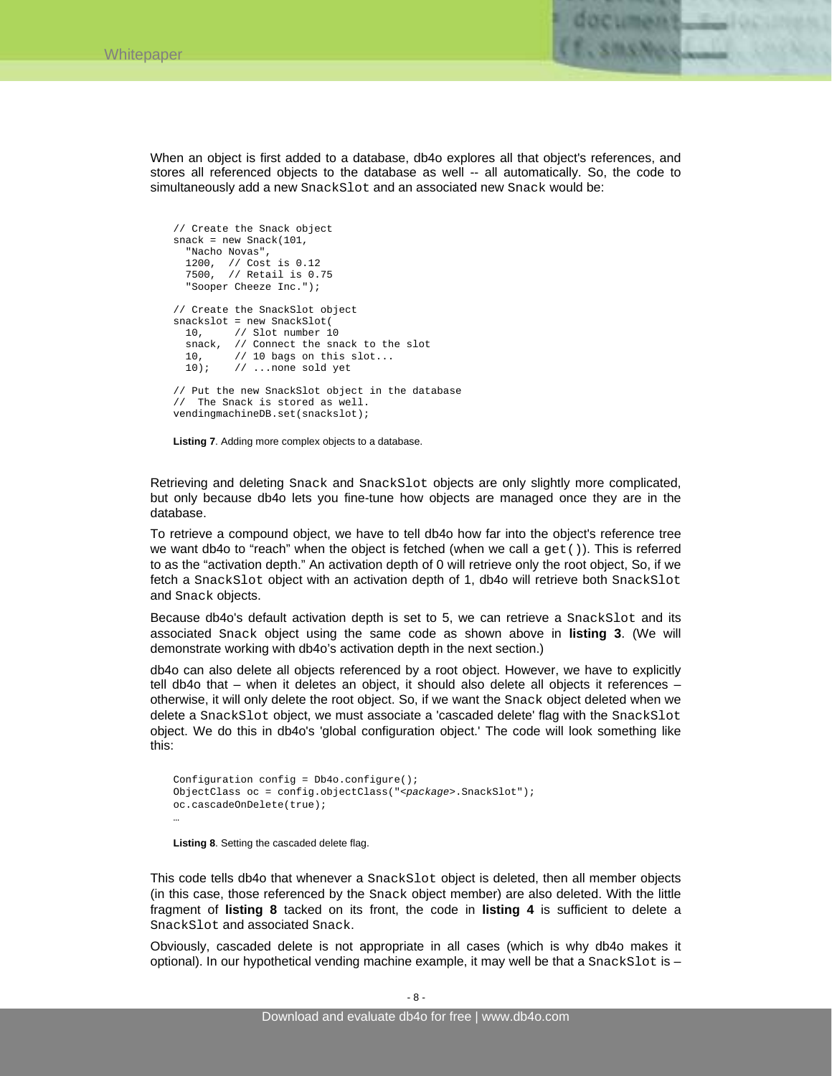

When an object is first added to a database, db4o explores all that object's references, and stores all referenced objects to the database as well -- all automatically. So, the code to simultaneously add a new SnackSlot and an associated new Snack would be:

```
// Create the Snack object 
snack = new Snack(101, 
   "Nacho Novas", 
 1200, // Cost is 0.12 
 7500, // Retail is 0.75 
   "Sooper Cheeze Inc."); 
// Create the SnackSlot object 
snackslot = new SnackSlot(<br>10, // Slot number 1
        // Slot number 10
   snack, // Connect the snack to the slot 
   10, // 10 bags on this slot... 
   10); // ...none sold yet 
// Put the new SnackSlot object in the database 
// The Snack is stored as well. 
vendingmachineDB.set(snackslot);
```
**Listing 7**. Adding more complex objects to a database.

Retrieving and deleting Snack and SnackSlot objects are only slightly more complicated, but only because db4o lets you fine-tune how objects are managed once they are in the database.

To retrieve a compound object, we have to tell db4o how far into the object's reference tree we want db4o to "reach" when the object is fetched (when we call a  $qet()$ ). This is referred to as the "activation depth." An activation depth of 0 will retrieve only the root object, So, if we fetch a SnackSlot object with an activation depth of 1, db4o will retrieve both SnackSlot and Snack objects.

Because db4o's default activation depth is set to 5, we can retrieve a SnackSlot and its associated Snack object using the same code as shown above in **listing 3**. (We will demonstrate working with db4o's activation depth in the next section.)

db4o can also delete all objects referenced by a root object. However, we have to explicitly tell db4o that – when it deletes an object, it should also delete all objects it references – otherwise, it will only delete the root object. So, if we want the Snack object deleted when we delete a SnackSlot object, we must associate a 'cascaded delete' flag with the SnackSlot object. We do this in db4o's 'global configuration object.' The code will look something like this:

```
Configuration config = Db4o.configquare();
ObjectClass oc = config.objectClass("<package>.SnackSlot"); 
oc.cascadeOnDelete(true); 
…
```
**Listing 8**. Setting the cascaded delete flag.

This code tells db4o that whenever a SnackSlot object is deleted, then all member objects (in this case, those referenced by the Snack object member) are also deleted. With the little fragment of **listing 8** tacked on its front, the code in **listing 4** is sufficient to delete a SnackSlot and associated Snack.

Obviously, cascaded delete is not appropriate in all cases (which is why db4o makes it optional). In our hypothetical vending machine example, it may well be that a  $SnackSlot$  is –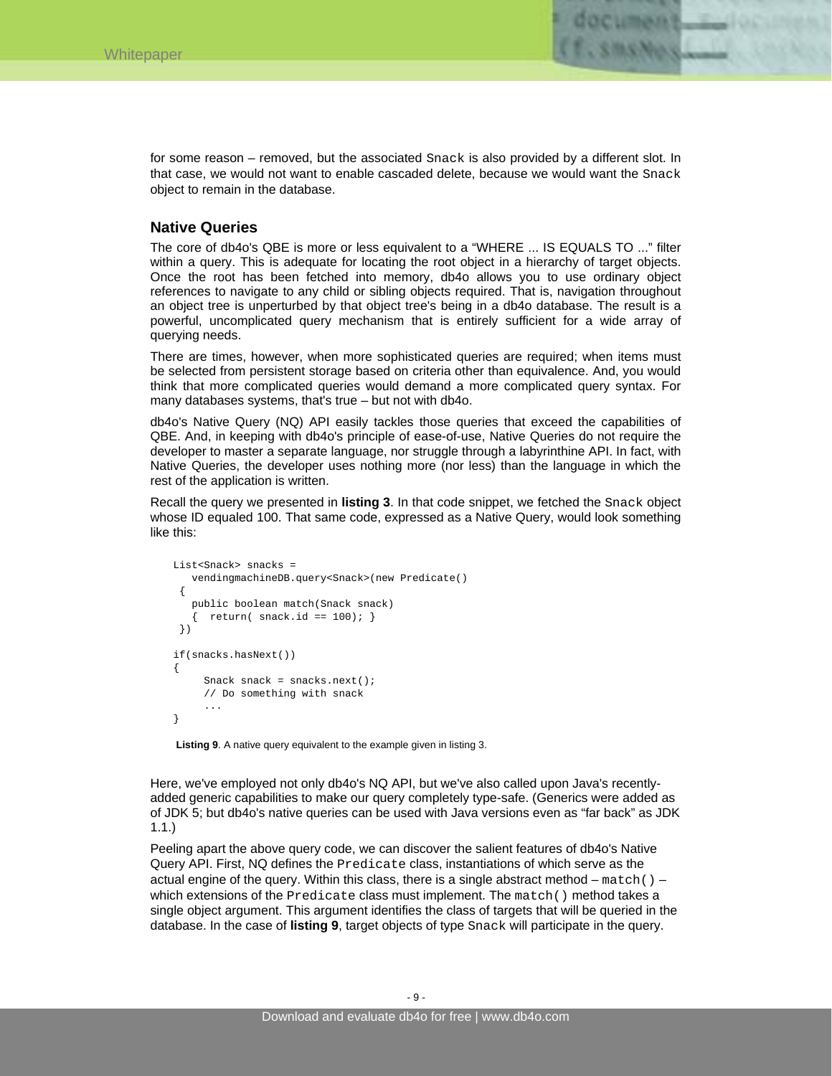

for some reason – removed, but the associated Snack is also provided by a different slot. In that case, we would not want to enable cascaded delete, because we would want the Snack object to remain in the database.

### **Native Queries**

The core of db4o's QBE is more or less equivalent to a "WHERE ... IS EQUALS TO ..." filter within a query. This is adequate for locating the root object in a hierarchy of target objects. Once the root has been fetched into memory, db4o allows you to use ordinary object references to navigate to any child or sibling objects required. That is, navigation throughout an object tree is unperturbed by that object tree's being in a db4o database. The result is a powerful, uncomplicated query mechanism that is entirely sufficient for a wide array of querying needs.

There are times, however, when more sophisticated queries are required; when items must be selected from persistent storage based on criteria other than equivalence. And, you would think that more complicated queries would demand a more complicated query syntax. For many databases systems, that's true – but not with db4o.

db4o's Native Query (NQ) API easily tackles those queries that exceed the capabilities of QBE. And, in keeping with db4o's principle of ease-of-use, Native Queries do not require the developer to master a separate language, nor struggle through a labyrinthine API. In fact, with Native Queries, the developer uses nothing more (nor less) than the language in which the rest of the application is written.

Recall the query we presented in **listing 3**. In that code snippet, we fetched the Snack object whose ID equaled 100. That same code, expressed as a Native Query, would look something like this:

```
List<Snack> snacks = 
    vendingmachineDB.query<Snack>(new Predicate() 
  { 
    public boolean match(Snack snack) 
   \{ return( snack.id == 100); \} }) 
if(snacks.hasNext()) 
{ 
     Snack snack = snacks.next();
      // Do something with snack 
 ... 
}
```
**Listing 9**. A native query equivalent to the example given in listing 3.

Here, we've employed not only db4o's NQ API, but we've also called upon Java's recentlyadded generic capabilities to make our query completely type-safe. (Generics were added as of JDK 5; but db4o's native queries can be used with Java versions even as "far back" as JDK 1.1.)

Peeling apart the above query code, we can discover the salient features of db4o's Native Query API. First, NQ defines the Predicate class, instantiations of which serve as the actual engine of the query. Within this class, there is a single abstract method  $-$  match() – which extensions of the Predicate class must implement. The match() method takes a single object argument. This argument identifies the class of targets that will be queried in the database. In the case of **listing 9**, target objects of type Snack will participate in the query.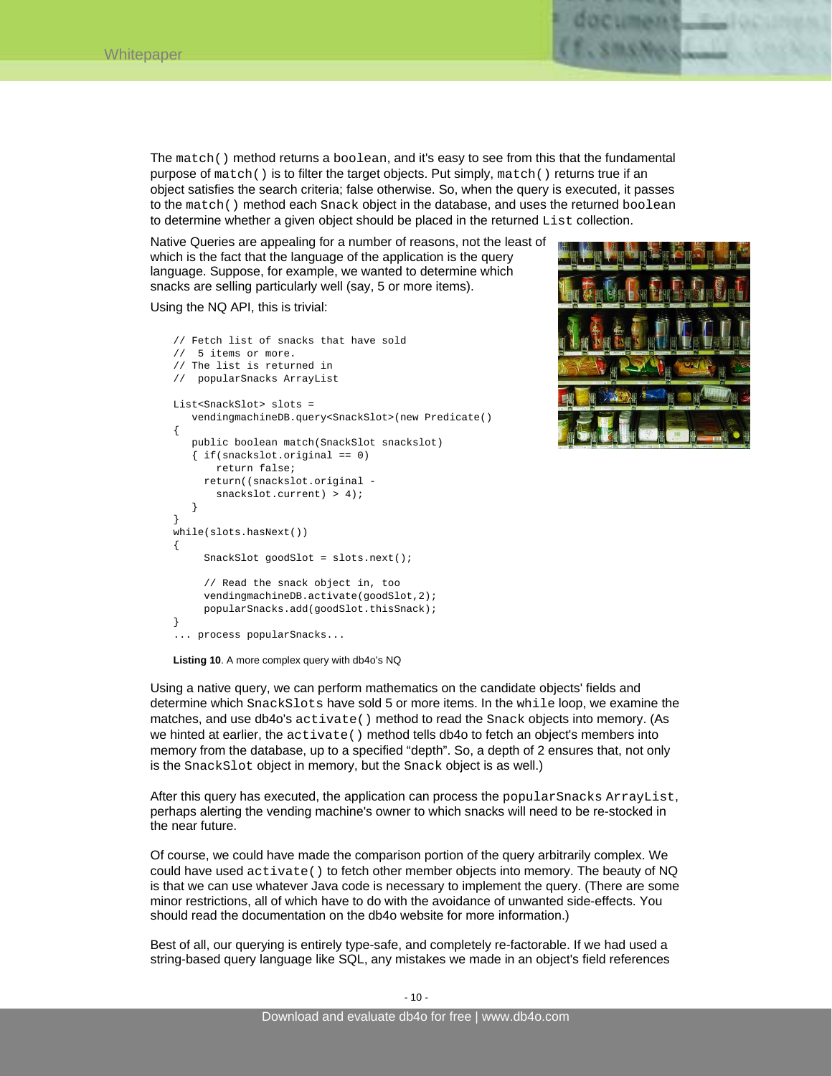The match() method returns a boolean, and it's easy to see from this that the fundamental purpose of match() is to filter the target objects. Put simply, match() returns true if an object satisfies the search criteria; false otherwise. So, when the query is executed, it passes to the match() method each Snack object in the database, and uses the returned boolean to determine whether a given object should be placed in the returned List collection.

Native Queries are appealing for a number of reasons, not the least of which is the fact that the language of the application is the query language. Suppose, for example, we wanted to determine which snacks are selling particularly well (say, 5 or more items).

Using the NQ API, this is trivial:

```
// Fetch list of snacks that have sold 
// 5 items or more. 
// The list is returned in 
// popularSnacks ArrayList 
List<SnackSlot> slots = 
    vendingmachineDB.query<SnackSlot>(new Predicate() 
{ 
    public boolean match(SnackSlot snackslot) 
   \{ if(snackslot.original == 0) return false; 
      return((snackslot.original - 
       snackslot.current) > 4);
 } 
} 
while(slots.hasNext()) 
{ 
      SnackSlot goodSlot = slots.next(); 
      // Read the snack object in, too 
      vendingmachineDB.activate(goodSlot,2); 
      popularSnacks.add(goodSlot.thisSnack); 
} 
... process popularSnacks...
```


**Listing 10**. A more complex query with db4o's NQ

Using a native query, we can perform mathematics on the candidate objects' fields and determine which SnackSlots have sold 5 or more items. In the while loop, we examine the matches, and use db4o's activate() method to read the Snack objects into memory. (As we hinted at earlier, the activate() method tells db4o to fetch an object's members into memory from the database, up to a specified "depth". So, a depth of 2 ensures that, not only is the SnackSlot object in memory, but the Snack object is as well.)

After this query has executed, the application can process the popularSnacks ArrayList, perhaps alerting the vending machine's owner to which snacks will need to be re-stocked in the near future.

Of course, we could have made the comparison portion of the query arbitrarily complex. We could have used  $active ( )$  to fetch other member objects into memory. The beauty of NQ is that we can use whatever Java code is necessary to implement the query. (There are some minor restrictions, all of which have to do with the avoidance of unwanted side-effects. You should read the documentation on the db4o website for more information.)

Best of all, our querying is entirely type-safe, and completely re-factorable. If we had used a string-based query language like SQL, any mistakes we made in an object's field references